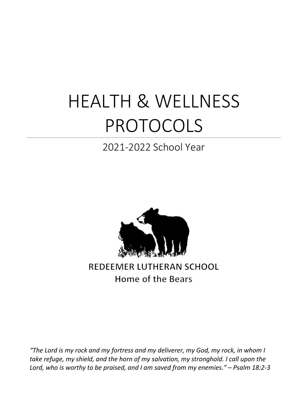# HEALTH & WELLNESS PROTOCOLS

# 2021-2022 School Year



**REDEEMER LUTHERAN SCHOOL** Home of the Bears

*"The Lord is my rock and my fortress and my deliverer, my God, my rock, in whom I take refuge, my shield, and the horn of my salvation, my stronghold. I call upon the Lord, who is worthy to be praised, and I am saved from my enemies." – Psalm 18:2-3*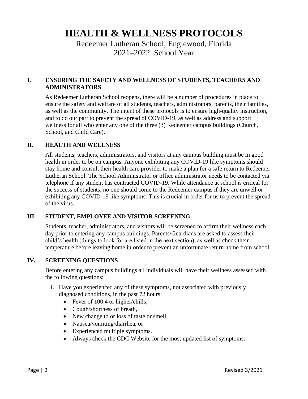# **HEALTH & WELLNESS PROTOCOLS**

Redeemer Lutheran School, Englewood, Florida 2021–2022 School Year

#### **I. ENSURING THE SAFETY AND WELLNESS OF STUDENTS, TEACHERS AND ADMINISTRATORS**

As Redeemer Lutheran School reopens, there will be a number of procedures in place to ensure the safety and welfare of all students, teachers, administrators, parents, their families, as well as the community. The intent of these protocols is to ensure high-quality instruction, and to do our part to prevent the spread of COVID-19, as well as address and support wellness for all who enter any one of the three (3) Redeemer campus buildings (Church, School, and Child Care).

#### **II. HEALTH AND WELLNESS**

All students, teachers, administrators, and visitors at any campus building must be in good health in order to be on campus. Anyone exhibiting any COVID-19 like symptoms should stay home and consult their health care provider to make a plan for a safe return to Redeemer Lutheran School. The School Administrator or office administrator needs to be contacted via telephone if any student has contracted COVID-19. While attendance at school is critical for the success of students, no one should come to the Redeemer campus if they are unwell or exhibiting any COVID-19 like symptoms. This is crucial in order for us to prevent the spread of the virus.

#### **III. STUDENT, EMPLOYEE AND VISITOR SCREENING**

Students, teacher, administrators, and visitors will be screened to affirm their wellness each day prior to entering any campus buildings. Parents/Guardians are asked to assess their child's health (things to look for are listed in the next section), as well as check their temperature before leaving home in order to prevent an unfortunate return home from school.

#### **IV. SCREENING QUESTIONS**

Before entering any campus buildings all individuals will have their wellness assessed with the following questions:

- 1. Have you experienced any of these symptoms, not associated with previously diagnosed conditions, in the past 72 hours:
	- Fever of 100.4 or higher/chills,
	- Cough/shortness of breath,
	- New change to or loss of taste or smell,
	- Nausea/vomiting/diarrhea, or
	- Experienced multiple symptoms.
	- Always check the CDC Website for the most updated list of symptoms.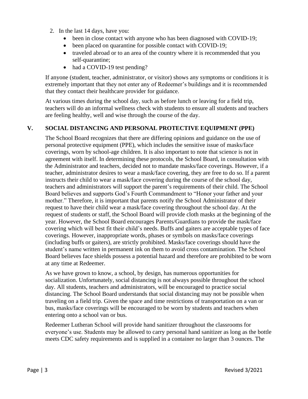- 2. In the last 14 days, have you:
	- been in close contact with anyone who has been diagnosed with COVID-19;
	- been placed on quarantine for possible contact with COVID-19;
	- traveled abroad or to an area of the country where it is recommended that you self-quarantine;
	- had a COVID-19 test pending?

If anyone (student, teacher, administrator, or visitor) shows any symptoms or conditions it is extremely important that they not enter any of Redeemer's buildings and it is recommended that they contact their healthcare provider for guidance.

At various times during the school day, such as before lunch or leaving for a field trip, teachers will do an informal wellness check with students to ensure all students and teachers are feeling healthy, well and wise through the course of the day.

#### **V. SOCIAL DISTANCING AND PERSONAL PROTECTIVE EQUIPMENT (PPE)**

The School Board recognizes that there are differing opinions and guidance on the use of personal protective equipment (PPE), which includes the sensitive issue of masks/face coverings, worn by school-age children. It is also important to note that science is not in agreement with itself. In determining these protocols, the School Board, in consultation with the Administrator and teachers, decided not to mandate masks/face coverings. However, if a teacher, administrator desires to wear a mask/face covering, they are free to do so. If a parent instructs their child to wear a mask/face covering during the course of the school day, teachers and administrators will support the parent's requirements of their child. The School Board believes and supports God's Fourth Commandment to "Honor your father and your mother." Therefore, it is important that parents notify the School Administrator of their request to have their child wear a mask/face covering throughout the school day. At the request of students or staff, the School Board will provide cloth masks at the beginning of the year. However, the School Board encourages Parents/Guardians to provide the mask/face covering which will best fit their child's needs. Buffs and gaiters are acceptable types of face coverings. However, inappropriate words, phases or symbols on masks/face coverings (including buffs or gaiters), are strictly prohibited. Masks/face coverings should have the student's name written in permanent ink on them to avoid cross contamination. The School Board believes face shields possess a potential hazard and therefore are prohibited to be worn at any time at Redeemer.

As we have grown to know, a school, by design, has numerous opportunities for socialization. Unfortunately, social distancing is not always possible throughout the school day. All students, teachers and administrators, will be encouraged to practice social distancing. The School Board understands that social distancing may not be possible when traveling on a field trip. Given the space and time restrictions of transportation on a van or bus, masks/face coverings will be encouraged to be worn by students and teachers when entering onto a school van or bus.

Redeemer Lutheran School will provide hand sanitizer throughout the classrooms for everyone's use. Students may be allowed to carry personal hand sanitizer as long as the bottle meets CDC safety requirements and is supplied in a container no larger than 3 ounces. The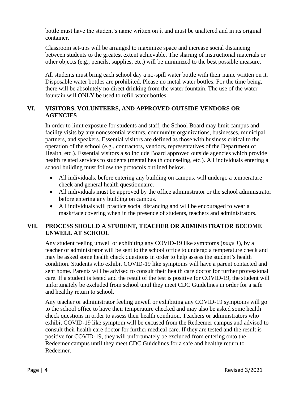bottle must have the student's name written on it and must be unaltered and in its original container.

Classroom set-ups will be arranged to maximize space and increase social distancing between students to the greatest extent achievable. The sharing of instructional materials or other objects (e.g., pencils, supplies, etc.) will be minimized to the best possible measure.

All students must bring each school day a no-spill water bottle with their name written on it. Disposable water bottles are prohibited. Please no metal water bottles. For the time being, there will be absolutely no direct drinking from the water fountain. The use of the water fountain will ONLY be used to refill water bottles.

#### **VI. VISITORS, VOLUNTEERS, AND APPROVED OUTSIDE VENDORS OR AGENCIES**

In order to limit exposure for students and staff, the School Board may limit campus and facility visits by any nonessential visitors, community organizations, businesses, municipal partners, and speakers. Essential visitors are defined as those with business critical to the operation of the school (e.g., contractors, vendors, representatives of the Department of Health, etc.). Essential visitors also include Board approved outside agencies which provide health related services to students (mental health counseling, etc.). All individuals entering a school building must follow the protocols outlined below.

- All individuals, before entering any building on campus, will undergo a temperature check and general health questionnaire.
- All individuals must be approved by the office administrator or the school administrator before entering any building on campus.
- All individuals will practice social distancing and will be encouraged to wear a mask/face covering when in the presence of students, teachers and administrators.

# **VII. PROCESS SHOULD A STUDENT, TEACHER OR ADMINISTRATOR BECOME UNWELL AT SCHOOL**

Any student feeling unwell or exhibiting any COVID-19 like symptoms (*page 1*), by a teacher or administrator will be sent to the school office to undergo a temperature check and may be asked some health check questions in order to help assess the student's health condition. Students who exhibit COVID-19 like symptoms will have a parent contacted and sent home. Parents will be advised to consult their health care doctor for further professional care. If a student is tested and the result of the test is positive for COVID-19, the student will unfortunately be excluded from school until they meet CDC Guidelines in order for a safe and healthy return to school.

Any teacher or administrator feeling unwell or exhibiting any COVID-19 symptoms will go to the school office to have their temperature checked and may also be asked some health check questions in order to assess their health condition. Teachers or administrators who exhibit COVID-19 like symptom will be excused from the Redeemer campus and advised to consult their health care doctor for further medical care. If they are tested and the result is positive for COVID-19, they will unfortunately be excluded from entering onto the Redeemer campus until they meet CDC Guidelines for a safe and healthy return to Redeemer.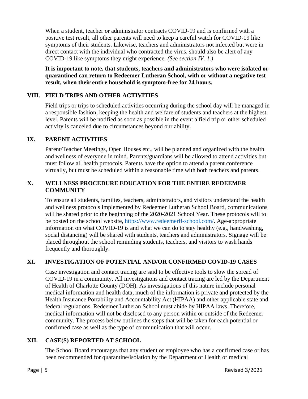When a student, teacher or administrator contracts COVID-19 and is confirmed with a positive test result, all other parents will need to keep a careful watch for COVID-19 like symptoms of their students. Likewise, teachers and administrators not infected but were in direct contact with the individual who contracted the virus, should also be alert of any COVID-19 like symptoms they might experience. *(See section IV. 1.)*

**It is important to note, that students, teachers and administrators who were isolated or quarantined can return to Redeemer Lutheran School, with or without a negative test result, when their entire household is symptom-free for 24 hours.**

# **VIII. FIELD TRIPS AND OTHER ACTIVITIES**

Field trips or trips to scheduled activities occurring during the school day will be managed in a responsible fashion, keeping the health and welfare of students and teachers at the highest level. Parents will be notified as soon as possible in the event a field trip or other scheduled activity is canceled due to circumstances beyond our ability.

# **IX. PARENT ACTIVITIES**

Parent/Teacher Meetings, Open Houses etc., will be planned and organized with the health and wellness of everyone in mind. Parents/guardians will be allowed to attend activities but must follow all health protocols. Parents have the option to attend a parent conference virtually, but must be scheduled within a reasonable time with both teachers and parents.

#### **X. WELLNESS PROCEDURE EDUCATION FOR THE ENTIRE REDEEMER COMMUNITY**

To ensure all students, families, teachers, administrators, and visitors understand the health and wellness protocols implemented by Redeemer Lutheran School Board, communications will be shared prior to the beginning of the 2020-2021 School Year. These protocols will to be posted on the school website, [https://www.redeemerfl-school.com/.](https://www.redeemerfl-school.com/) Age-appropriate information on what COVID-19 is and what we can do to stay healthy (e.g., handwashing, social distancing) will be shared with students, teachers and administrators. Signage will be placed throughout the school reminding students, teachers, and visitors to wash hands frequently and thoroughly.

# **XI. INVESTIGATION OF POTENTIAL AND/OR CONFIRMED COVID-19 CASES**

Case investigation and contact tracing are said to be effective tools to slow the spread of COVID-19 in a community. All investigations and contact tracing are led by the Department of Health of Charlotte County (DOH). As investigations of this nature include personal medical information and health data, much of the information is private and protected by the Health Insurance Portability and Accountability Act (HIPAA) and other applicable state and federal regulations. Redeemer Lutheran School must abide by HIPAA laws. Therefore, medical information will not be disclosed to any person within or outside of the Redeemer community. The process below outlines the steps that will be taken for each potential or confirmed case as well as the type of communication that will occur.

#### **XII. CASE(S) REPORTED AT SCHOOL**

The School Board encourages that any student or employee who has a confirmed case or has been recommended for quarantine/isolation by the Department of Health or medical